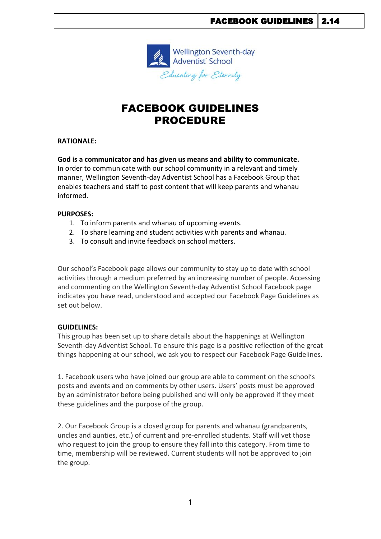

# FACEBOOK GUIDELINES PROCEDURE

### **RATIONALE:**

**God is a communicator and has given us means and ability to communicate.** In order to communicate with our school community in a relevant and timely manner, Wellington Seventh-day Adventist School has a Facebook Group that enables teachers and staff to post content that will keep parents and whanau informed.

#### **PURPOSES:**

- 1. To inform parents and whanau of upcoming events.
- 2. To share learning and student activities with parents and whanau.
- 3. To consult and invite feedback on school matters.

Our school's Facebook page allows our community to stay up to date with school activities through a medium preferred by an increasing number of people. Accessing and commenting on the Wellington Seventh-day Adventist School Facebook page indicates you have read, understood and accepted our Facebook Page Guidelines as set out below.

## **GUIDELINES:**

This group has been set up to share details about the happenings at Wellington Seventh-day Adventist School. To ensure this page is a positive reflection of the great things happening at our school, we ask you to respect our Facebook Page Guidelines.

1. Facebook users who have joined our group are able to comment on the school's posts and events and on comments by other users. Users' posts must be approved by an administrator before being published and will only be approved if they meet these guidelines and the purpose of the group.

2. Our Facebook Group is a closed group for parents and whanau (grandparents, uncles and aunties, etc.) of current and pre-enrolled students. Staff will vet those who request to join the group to ensure they fall into this category. From time to time, membership will be reviewed. Current students will not be approved to join the group.